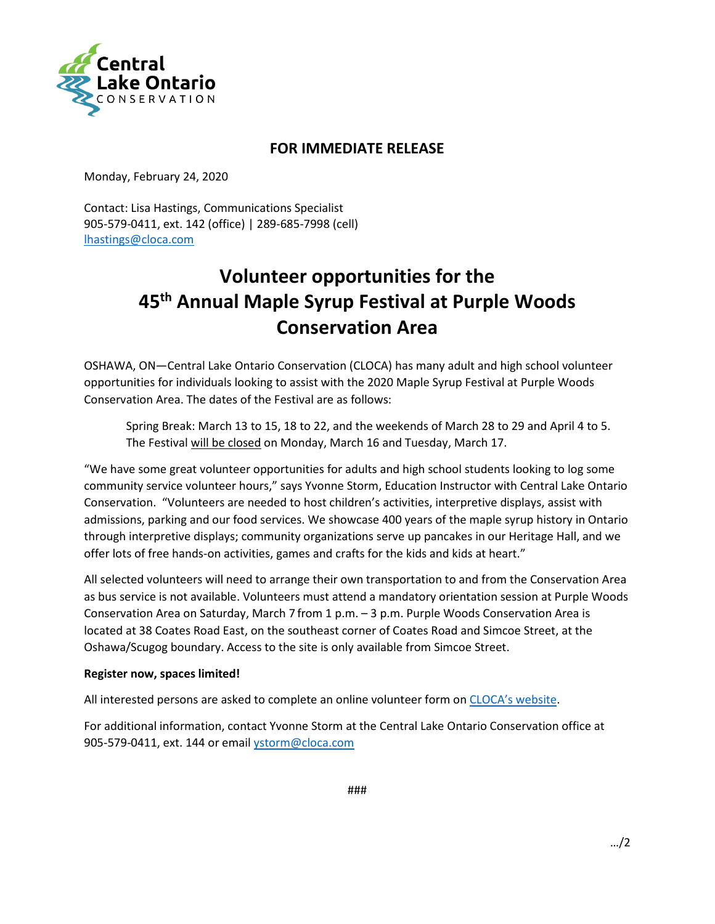

## **FOR IMMEDIATE RELEASE**

Monday, February 24, 2020

Contact: Lisa Hastings, Communications Specialist 905-579-0411, ext. 142 (office) | 289-685-7998 (cell) [lhastings@cloca.com](mailto:lhastings@cloca.com)

## **Volunteer opportunities for the 45th Annual Maple Syrup Festival at Purple Woods Conservation Area**

OSHAWA, ON—Central Lake Ontario Conservation (CLOCA) has many adult and high school volunteer opportunities for individuals looking to assist with the 2020 Maple Syrup Festival at Purple Woods Conservation Area. The dates of the Festival are as follows:

Spring Break: March 13 to 15, 18 to 22, and the weekends of March 28 to 29 and April 4 to 5. The Festival will be closed on Monday, March 16 and Tuesday, March 17.

"We have some great volunteer opportunities for adults and high school students looking to log some community service volunteer hours," says Yvonne Storm, Education Instructor with Central Lake Ontario Conservation. "Volunteers are needed to host children's activities, interpretive displays, assist with admissions, parking and our food services. We showcase 400 years of the maple syrup history in Ontario through interpretive displays; community organizations serve up pancakes in our Heritage Hall, and we offer lots of free hands-on activities, games and crafts for the kids and kids at heart."

All selected volunteers will need to arrange their own transportation to and from the Conservation Area as bus service is not available. Volunteers must attend a mandatory orientation session at Purple Woods Conservation Area on Saturday, March 7 from 1 p.m. – 3 p.m. Purple Woods Conservation Area is located at 38 Coates Road East, on the southeast corner of Coates Road and Simcoe Street, at the Oshawa/Scugog boundary. Access to the site is only available from Simcoe Street.

## **Register now, spaces limited!**

All interested persons are asked to complete an online volunteer form on [CLOCA's website.](https://www.cloca.com/maple-syrup-festival-volunteering)

For additional information, contact Yvonne Storm at the Central Lake Ontario Conservation office at 905-579-0411, ext. 144 or email [ystorm@cloca.com](mailto:ystorm@cloca.com)